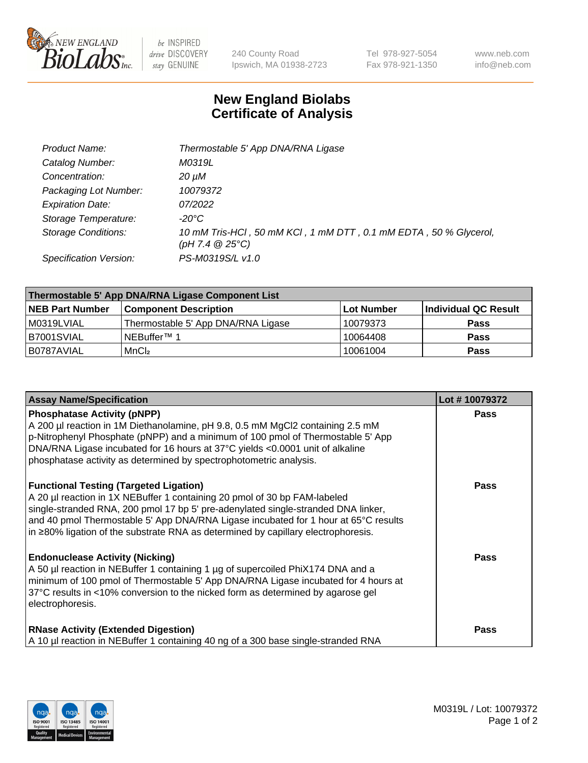

 $be$  INSPIRED drive DISCOVERY stay GENUINE

240 County Road Ipswich, MA 01938-2723 Tel 978-927-5054 Fax 978-921-1350 www.neb.com info@neb.com

## **New England Biolabs Certificate of Analysis**

| Product Name:                 | Thermostable 5' App DNA/RNA Ligase                                                    |
|-------------------------------|---------------------------------------------------------------------------------------|
| Catalog Number:               | M0319L                                                                                |
| Concentration:                | 20 µM                                                                                 |
| Packaging Lot Number:         | 10079372                                                                              |
| <b>Expiration Date:</b>       | <i>07/2022</i>                                                                        |
| Storage Temperature:          | -20°C                                                                                 |
| <b>Storage Conditions:</b>    | 10 mM Tris-HCl, 50 mM KCl, 1 mM DTT, 0.1 mM EDTA, 50 % Glycerol,<br>(pH 7.4 $@25°C$ ) |
| <b>Specification Version:</b> | PS-M0319S/L v1.0                                                                      |

| Thermostable 5' App DNA/RNA Ligase Component List |                                    |            |                      |  |
|---------------------------------------------------|------------------------------------|------------|----------------------|--|
| <b>NEB Part Number</b>                            | <b>Component Description</b>       | Lot Number | Individual QC Result |  |
| M0319LVIAL                                        | Thermostable 5' App DNA/RNA Ligase | 10079373   | <b>Pass</b>          |  |
| IB7001SVIAL                                       | INEBuffer™ 1                       | 10064408   | <b>Pass</b>          |  |
| IB0787AVIAL                                       | MnCl <sub>2</sub>                  | 10061004   | <b>Pass</b>          |  |

| <b>Assay Name/Specification</b>                                                                                                                                                                                                                                                                                                                                                             | Lot #10079372 |
|---------------------------------------------------------------------------------------------------------------------------------------------------------------------------------------------------------------------------------------------------------------------------------------------------------------------------------------------------------------------------------------------|---------------|
| <b>Phosphatase Activity (pNPP)</b><br>A 200 µl reaction in 1M Diethanolamine, pH 9.8, 0.5 mM MgCl2 containing 2.5 mM<br>p-Nitrophenyl Phosphate (pNPP) and a minimum of 100 pmol of Thermostable 5' App<br>DNA/RNA Ligase incubated for 16 hours at 37°C yields <0.0001 unit of alkaline<br>phosphatase activity as determined by spectrophotometric analysis.                              | <b>Pass</b>   |
| <b>Functional Testing (Targeted Ligation)</b><br>A 20 µl reaction in 1X NEBuffer 1 containing 20 pmol of 30 bp FAM-labeled<br>single-stranded RNA, 200 pmol 17 bp 5' pre-adenylated single-stranded DNA linker,<br>and 40 pmol Thermostable 5' App DNA/RNA Ligase incubated for 1 hour at 65°C results<br>in ≥80% ligation of the substrate RNA as determined by capillary electrophoresis. | Pass          |
| <b>Endonuclease Activity (Nicking)</b><br>A 50 µl reaction in NEBuffer 1 containing 1 µg of supercoiled PhiX174 DNA and a<br>minimum of 100 pmol of Thermostable 5' App DNA/RNA Ligase incubated for 4 hours at<br>37°C results in <10% conversion to the nicked form as determined by agarose gel<br>electrophoresis.                                                                      | Pass          |
| <b>RNase Activity (Extended Digestion)</b><br>A 10 µl reaction in NEBuffer 1 containing 40 ng of a 300 base single-stranded RNA                                                                                                                                                                                                                                                             | <b>Pass</b>   |